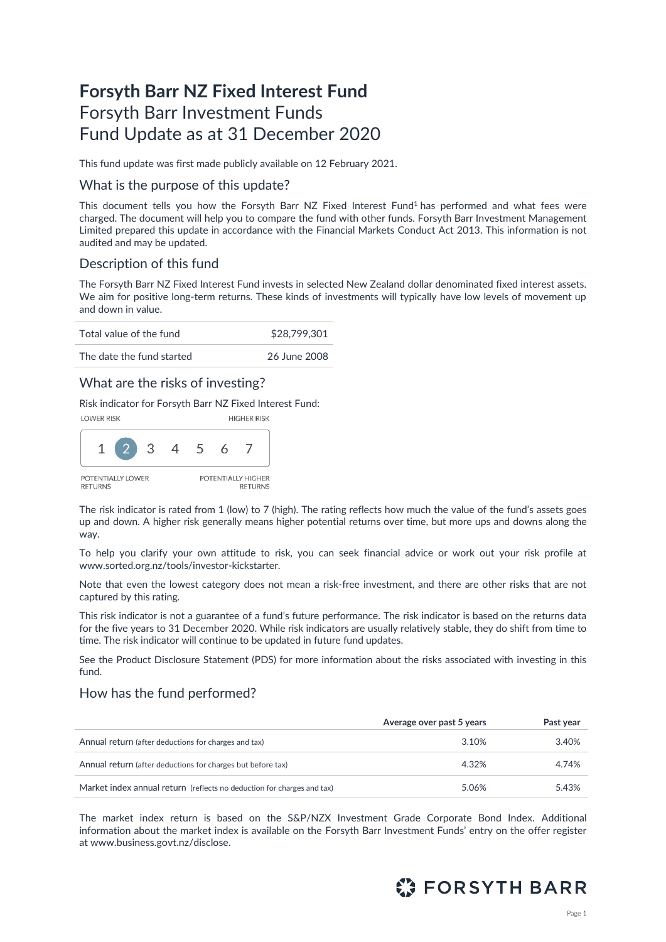# **Forsyth Barr NZ Fixed Interest Fund** Forsyth Barr Investment Funds Fund Update as at 31 December 2020

This fund update was first made publicly available on 12 February 2021.

### What is the purpose of this update?

This document tells you how the Forsyth Barr NZ Fixed Interest Fund<sup>1</sup> has performed and what fees were charged. The document will help you to compare the fund with other funds. Forsyth Barr Investment Management Limited prepared this update in accordance with the Financial Markets Conduct Act 2013. This information is not audited and may be updated.

## Description of this fund

The Forsyth Barr NZ Fixed Interest Fund invests in selected New Zealand dollar denominated fixed interest assets. We aim for positive long-term returns. These kinds of investments will typically have low levels of movement up and down in value.

| Total value of the fund   | \$28,799,301 |
|---------------------------|--------------|
| The date the fund started | 26 June 2008 |

## What are the risks of investing?

Risk indicator for Forsyth Barr NZ Fixed Interest Fund:



The risk indicator is rated from 1 (low) to 7 (high). The rating reflects how much the value of the fund's assets goes up and down. A higher risk generally means higher potential returns over time, but more ups and downs along the way.

To help you clarify your own attitude to risk, you can seek financial advice or work out your risk profile at [www.sorted.org.nz/tools/investor-kickstarter.](http://www.sorted.org.nz/tools/investor-kickstarter) 

Note that even the lowest category does not mean a risk-free investment, and there are other risks that are not captured by this rating.

This risk indicator is not a guarantee of a fund's future performance. The risk indicator is based on the returns data for the five years to 31 December 2020. While risk indicators are usually relatively stable, they do shift from time to time. The risk indicator will continue to be updated in future fund updates.

See the Product Disclosure Statement (PDS) for more information about the risks associated with investing in this fund.

## How has the fund performed?

|                                                                        | Average over past 5 years | Past year |
|------------------------------------------------------------------------|---------------------------|-----------|
| Annual return (after deductions for charges and tax)                   | 3.10%                     | 3.40%     |
| Annual return (after deductions for charges but before tax)            | 4.32%                     | 4.74%     |
| Market index annual return (reflects no deduction for charges and tax) | 5.06%                     | 5.43%     |

The market index return is based on the S&P/NZX Investment Grade Corporate Bond Index. Additional information about the market index is available on the Forsyth Barr Investment Funds' entry on the offer register at [www.business.govt.nz/disclose.](http://www.business.govt.nz/disclose)

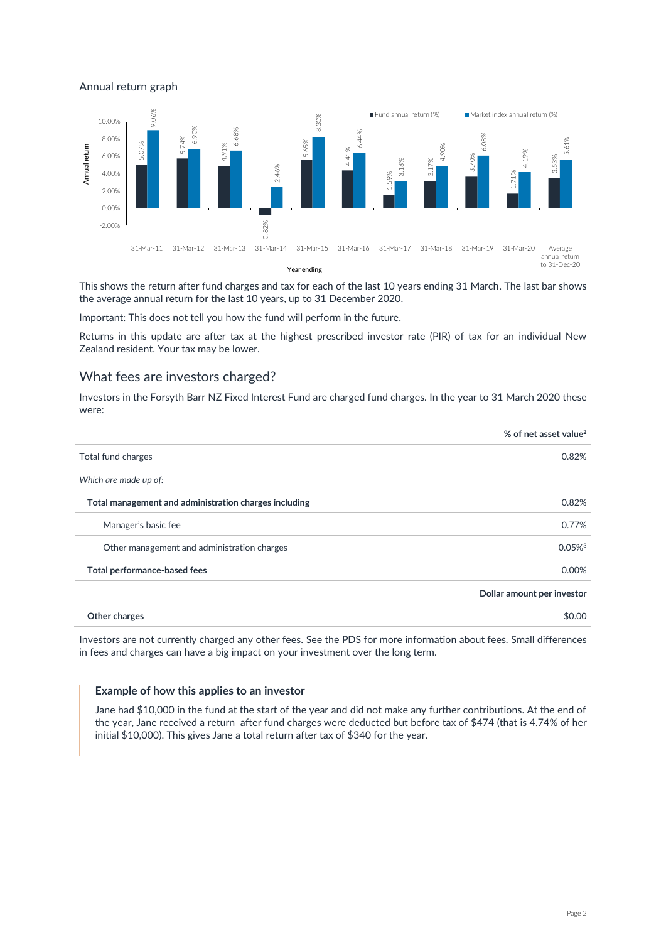Annual return graph



This shows the return after fund charges and tax for each of the last 10 years ending 31 March. The last bar shows the average annual return for the last 10 years, up to 31 December 2020.

Important: This does not tell you how the fund will perform in the future.

Returns in this update are after tax at the highest prescribed investor rate (PIR) of tax for an individual New Zealand resident. Your tax may be lower.

## What fees are investors charged?

Investors in the Forsyth Barr NZ Fixed Interest Fund are charged fund charges. In the year to 31 March 2020 these were:

| % of net asset value <sup>2</sup> |
|-----------------------------------|
| 0.82%                             |
|                                   |
| 0.82%                             |
| 0.77%                             |
| $0.05\%$ <sup>3</sup>             |
| 0.00%                             |
| Dollar amount per investor        |
| \$0.00                            |
|                                   |

Investors are not currently charged any other fees. See the PDS for more information about fees. Small differences in fees and charges can have a big impact on your investment over the long term.

#### **Example of how this applies to an investor**

Jane had \$10,000 in the fund at the start of the year and did not make any further contributions. At the end of the year, Jane received a return after fund charges were deducted but before tax of \$474 (that is 4.74% of her initial \$10,000). This gives Jane a total return after tax of \$340 for the year.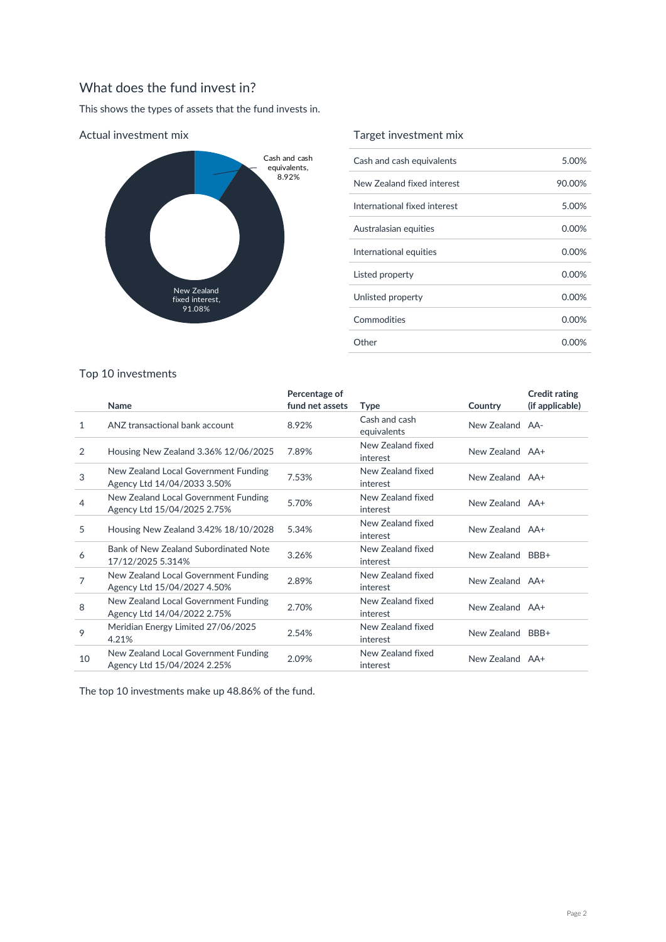## What does the fund invest in?

This shows the types of assets that the fund invests in.



#### Actual investment mix

## Target investment mix

| Cash and cash equivalents    | 5.00%    |
|------------------------------|----------|
| New Zealand fixed interest   | 90.00%   |
| International fixed interest | 5.00%    |
| Australasian equities        | $0.00\%$ |
| International equities       | 0.00%    |
| Listed property              | 0.00%    |
| Unlisted property            | 0.00%    |
| Commodities                  | 0.00%    |
| Other                        | 0.00%    |

## Top 10 investments

|              | Name                                                                | Percentage of<br>fund net assets | <b>Type</b>                   | Country          | <b>Credit rating</b><br>(if applicable) |
|--------------|---------------------------------------------------------------------|----------------------------------|-------------------------------|------------------|-----------------------------------------|
| $\mathbf{1}$ | ANZ transactional bank account                                      | 8.92%                            | Cash and cash<br>equivalents  | New Zealand AA-  |                                         |
| 2            | Housing New Zealand 3.36% 12/06/2025                                | 7.89%                            | New Zealand fixed<br>interest | New Zealand AA+  |                                         |
| 3            | New Zealand Local Government Funding<br>Agency Ltd 14/04/2033 3.50% | 7.53%                            | New Zealand fixed<br>interest | New Zealand AA+  |                                         |
| 4            | New Zealand Local Government Funding<br>Agency Ltd 15/04/2025 2.75% | 5.70%                            | New Zealand fixed<br>interest | New Zealand AA+  |                                         |
| 5            | Housing New Zealand 3.42% 18/10/2028                                | 5.34%                            | New Zealand fixed<br>interest | New Zealand AA+  |                                         |
| 6            | Bank of New Zealand Subordinated Note<br>17/12/2025 5.314%          | 3.26%                            | New Zealand fixed<br>interest | New Zealand BBB+ |                                         |
| 7            | New Zealand Local Government Funding<br>Agency Ltd 15/04/2027 4.50% | 2.89%                            | New Zealand fixed<br>interest | New Zealand AA+  |                                         |
| 8            | New Zealand Local Government Funding<br>Agency Ltd 14/04/2022 2.75% | 2.70%                            | New Zealand fixed<br>interest | New Zealand AA+  |                                         |
| 9            | Meridian Energy Limited 27/06/2025<br>4.21%                         | 2.54%                            | New Zealand fixed<br>interest | New Zealand      | BBB+                                    |
| 10           | New Zealand Local Government Funding<br>Agency Ltd 15/04/2024 2.25% | 2.09%                            | New Zealand fixed<br>interest | New Zealand AA+  |                                         |

The top 10 investments make up 48.86% of the fund.